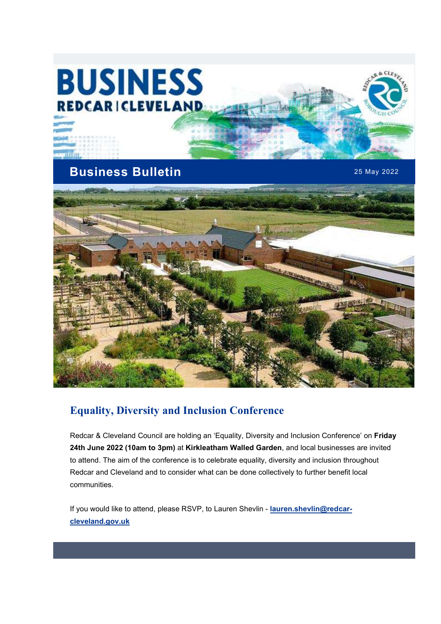# **BUSINESS REDCARICLEVELAND**

mnm

## Business Bulletin 25 May 2022

Ct s



## Equality, Diversity and Inclusion Conference

Redcar & Cleveland Council are holding an 'Equality, Diversity and Inclusion Conference' on Friday 24th June 2022 (10am to 3pm) at Kirkleatham Walled Garden, and local businesses are invited to attend. The aim of the conference is to celebrate equality, diversity and inclusion throughout Redcar and Cleveland and to consider what can be done collectively to further benefit local communities.

If you would like to attend, please RSVP, to Lauren Shevlin - lauren.shevlin@redcarcleveland.gov.uk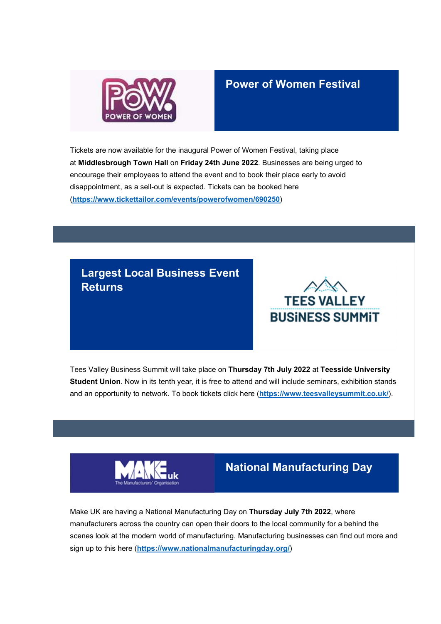

#### Power of Women Festival

Tickets are now available for the inaugural Power of Women Festival, taking place at Middlesbrough Town Hall on Friday 24th June 2022. Businesses are being urged to encourage their employees to attend the event and to book their place early to avoid disappointment, as a sell-out is expected. Tickets can be booked here (https://www.tickettailor.com/events/powerofwomen/690250)

#### Largest Local Business Event **Returns**



Tees Valley Business Summit will take place on Thursday 7th July 2022 at Teesside University Student Union. Now in its tenth year, it is free to attend and will include seminars, exhibition stands and an opportunity to network. To book tickets click here (https://www.teesvalleysummit.co.uk/).



## National Manufacturing Day

Make UK are having a National Manufacturing Day on Thursday July 7th 2022, where manufacturers across the country can open their doors to the local community for a behind the scenes look at the modern world of manufacturing. Manufacturing businesses can find out more and sign up to this here (https://www.nationalmanufacturingday.org/)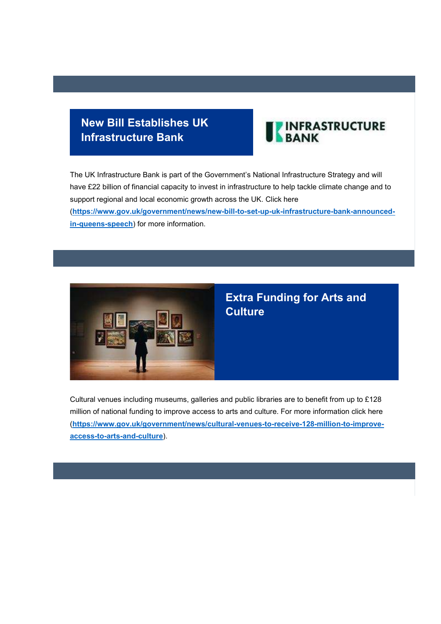## New Bill Establishes UK Infrastructure Bank



The UK Infrastructure Bank is part of the Government's National Infrastructure Strategy and will have £22 billion of financial capacity to invest in infrastructure to help tackle climate change and to support regional and local economic growth across the UK. Click here (https://www.gov.uk/government/news/new-bill-to-set-up-uk-infrastructure-bank-announcedin-queens-speech) for more information.



## Extra Funding for Arts and **Culture**

Cultural venues including museums, galleries and public libraries are to benefit from up to £128 million of national funding to improve access to arts and culture. For more information click here (https://www.gov.uk/government/news/cultural-venues-to-receive-128-million-to-improveaccess-to-arts-and-culture).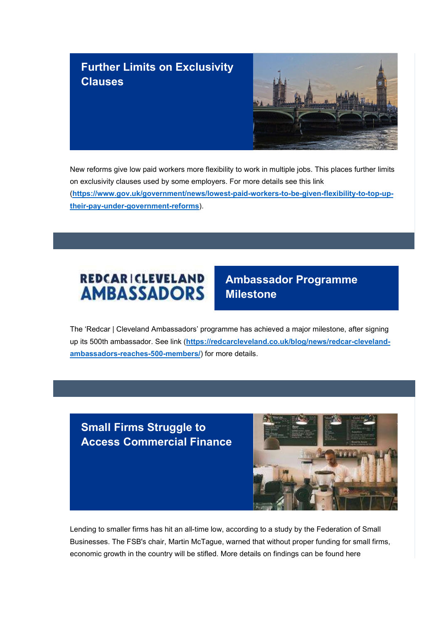## Further Limits on Exclusivity **Clauses**



New reforms give low paid workers more flexibility to work in multiple jobs. This places further limits on exclusivity clauses used by some employers. For more details see this link (https://www.gov.uk/government/news/lowest-paid-workers-to-be-given-flexibility-to-top-uptheir-pay-under-government-reforms).



## Ambassador Programme Milestone

The 'Redcar | Cleveland Ambassadors' programme has achieved a major milestone, after signing up its 500th ambassador. See link (https://redcarcleveland.co.uk/blog/news/redcar-clevelandambassadors-reaches-500-members/) for more details.

Small Firms Struggle to Access Commercial Finance



Lending to smaller firms has hit an all-time low, according to a study by the Federation of Small Businesses. The FSB's chair, Martin McTague, warned that without proper funding for small firms, economic growth in the country will be stifled. More details on findings can be found here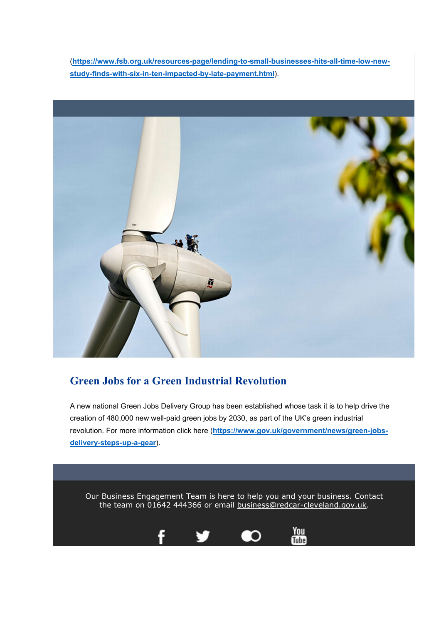(https://www.fsb.org.uk/resources-page/lending-to-small-businesses-hits-all-time-low-newstudy-finds-with-six-in-ten-impacted-by-late-payment.html).



#### Green Jobs for a Green Industrial Revolution

A new national Green Jobs Delivery Group has been established whose task it is to help drive the creation of 480,000 new well-paid green jobs by 2030, as part of the UK's green industrial revolution. For more information click here (https://www.gov.uk/government/news/green-jobsdelivery-steps-up-a-gear).

Our Business Engagement Team is here to help you and your business. Contact the team on 01642 444366 or email business@redcar-cleveland.gov.uk.